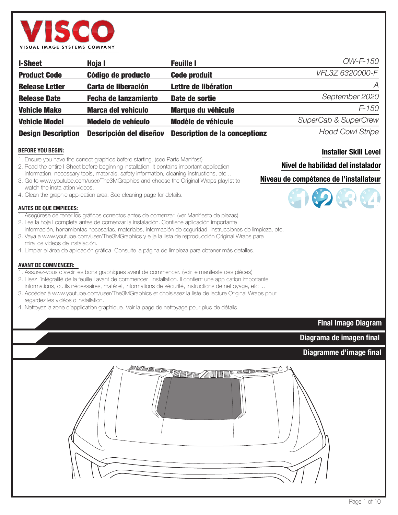

| <b>I-Sheet</b>            | Hoja I                         | <b>Feuille I</b>                     | OW-F-150                |
|---------------------------|--------------------------------|--------------------------------------|-------------------------|
| <b>Product Code</b>       | Código de producto             | <b>Code produit</b>                  | VFL3Z 6320000-F         |
| <b>Release Letter</b>     | <b>Carta de liberación</b>     | Lettre de libération                 | A                       |
| <b>Release Date</b>       | <b>Fecha de lanzamiento</b>    | Date de sortie                       | September 2020          |
| <b>Vehicle Make</b>       | <b>Marca del vehículo</b>      | <b>Marque du véhicule</b>            | $F - 150$               |
| <b>Vehicle Model</b>      | <b>Modelo de vehículo</b>      | Modèle de véhicule                   | SuperCab & SuperCrew    |
| <b>Design Description</b> | <b>Descripción del diseñov</b> | <b>Description de la conceptionz</b> | <b>Hood Cowl Stripe</b> |

#### **BEFORE YOU BEGIN:**

- 1. Ensure you have the correct graphics before starting. (see Parts Manifest)
- 2. Read the entire I-Sheet before beginning installation. It contains important application information, necessary tools, materials, safety information, cleaning instructions, etc...
- 3. Go to www.youtube.com/user/The3MGraphics and choose the Original Wraps playlist to watch the installation videos.
- 4. Clean the graphic application area. See cleaning page for details.

#### **ANTES DE QUE EMPIECES:**

- 1. Asegúrese de tener los gráficos correctos antes de comenzar. (ver Manifiesto de piezas)
- 2. Lea la hoja I completa antes de comenzar la instalación. Contiene aplicación importante
- información, herramientas necesarias, materiales, información de seguridad, instrucciones de limpieza, etc. 3. Vaya a www.youtube.com/user/The3MGraphics y elija la lista de reproducción Original Wraps para
- mira los videos de instalación.
- 4. Limpiar el área de aplicación gráfica. Consulte la página de limpieza para obtener más detalles.

#### **AVANT DE COMMENCER:**

- 1. Assurez-vous d'avoir les bons graphiques avant de commencer. (voir le manifeste des pièces)
- 2. Lisez l'intégralité de la feuille I avant de commencer l'installation. Il contient une application importante informations, outils nécessaires, matériel, informations de sécurité, instructions de nettoyage, etc ...
- 3. Accédez à www.youtube.com/user/The3MGraphics et choisissez la liste de lecture Original Wraps pour regardez les vidéos d'installation.

4. Nettoyez la zone d'application graphique. Voir la page de nettoyage pour plus de détails.

# **Installer Skill Level**

### **Nivel de habilidad del instalador**

# **Niveau de compétence de l'installateur**



**Diagramme d'image final**

**Diagrama de imagen final**

**Final Image Diagram**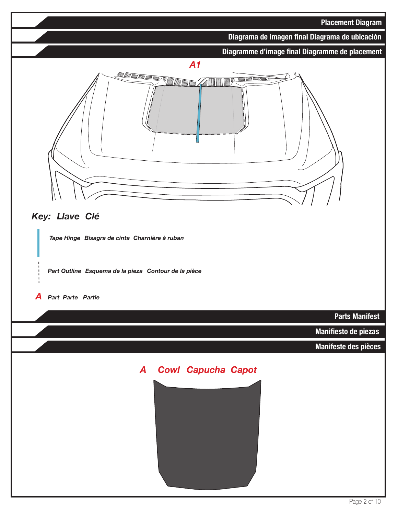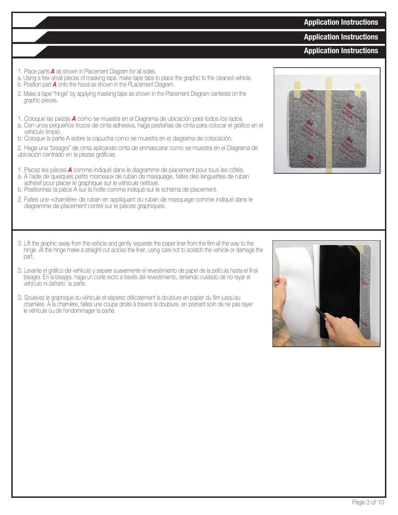# **Application Instructions**

**Application Instructions**

# **Application Instructions**

- 1. Place parts *A* as shown in Placement Diagram for all sides.
- a. Using a few small pieces of masking tape, make tape tabs to place the graphic to the cleaned vehicle.
- b. Position part *A* onto the hood as shown in the PLacement Diagram.
- 2. Make a tape "hinge" by applying masking tape as shown in the Placement Diagram centered on the graphic pieces.
- 1. Coloque las piezas *A* como se muestra en el Diagrama de ubicación para todos los lados.
- a. Con unos pequeños trozos de cinta adhesiva, haga pestañas de cinta para colocar el gráfico en el vehículo limpio.
- b. Coloque la parte A sobre la capucha como se muestra en el diagrama de colocación.
- 2. Haga una "bisagra" de cinta aplicando cinta de enmascarar como se muestra en el Diagrama de ubicación centrado en la piezas gráficas.
- 1. Placez les pièces *A* comme indiqué dans le diagramme de placement pour tous les côtés.
- a. À l'aide de quelques petits morceaux de ruban de masquage, faites des languettes de ruban adhésif pour placer le graphique sur le véhicule nettoyé.
- b. Positionnez la pièce A sur la hotte comme indiqué sur le schéma de placement.
- 2. Faites une «charnière» de ruban en appliquant du ruban de masquage comme indiqué dans le diagramme de placement centré sur le pièces graphiques.
- 3. Lift the graphic away from the vehicle and gently separate the paper liner from the film all the way to the hinge. At the hinge make a straight cut across the liner, using care not to scratch the vehicle or damage the part.
- 3. Levante el gráfico del vehículo y separe suavemente el revestimiento de papel de la película hasta el final bisagra. En la bisagra, haga un corte recto a través del revestimiento, teniendo cuidado de no rayar el vehículo ni dañarlo la parte.
- 3. Soulevez le graphique du véhicule et séparez délicatement la doublure en papier du film jusqu'au charnière. À la charnière, faites une coupe droite à travers la doublure, en prenant soin de ne pas rayer le véhicule ou de l'endommager la partie.



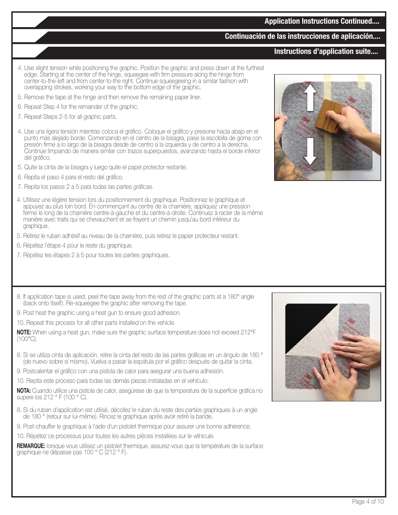# **Continuación de las instrucciones de aplicación....**

# **Instructions d'application suite....**

- 4. Use slight tension while positioning the graphic. Position the graphic and press down at the furthest edge. Starting at the center of the hinge, squeegee with firm pressure along the hinge from center-to-the-left and from center-to-the right. Continue squeegeeing in a similar fashion with overlapping strokes, working your way to the bottom edge of the graphic.
- 5. Remove the tape at the hinge and then remove the remaining paper liner.
- 6. Repeat Step 4 for the remainder of the graphic.
- 7. Repeat Steps 2-5 for all graphic parts.
- 4. Use una ligera tensión mientras coloca el gráfico. Coloque el gráfico y presione hacia abajo en el punto más alejado borde. Comenzando en el centro de la bisagra, pase la escobilla de goma con presión firme a lo largo de la bisagra desde de centro a la izquierda y de centro a la derecha. Continúe limpiando de manera similar con trazos superpuestos, avanzando hasta el borde inferior del gráfico.
- 5. Quite la cinta de la bisagra y luego quite el papel protector restante.
- 6. Repita el paso 4 para el resto del gráfico.
- 7. Repita los pasos 2 a 5 para todas las partes gráficas.
- 4. Utilisez une légère tension lors du positionnement du graphique. Positionnez le graphique et appuyez au plus loin bord. En commençant au centre de la charnière, appliquez une pression ferme le long de la charnière centre-à-gauche et du centre-à-droite. Continuez à racler de la même manière avec traits qui se chevauchent et se frayent un chemin jusqu'au bord inférieur du graphique.
- 5. Retirez le ruban adhésif au niveau de la charnière, puis retirez le papier protecteur restant.
- 6. Répétez l'étape 4 pour le reste du graphique.
- 7. Répétez les étapes 2 à 5 pour toutes les parties graphiques.
- 8. If application tape is used, peel the tape away from the rest of the graphic parts at a 180° angle (back onto itself). Re-squeegee the graphic after removing the tape.
- 9. Post heat the graphic using a heat gun to ensure good adhesion.
- 10. Repeat this process for all other parts installed on the vehicle.

**NOTE:** When using a heat gun, make sure the graphic surface temperature does not exceed 212°F (100°C).

- 8. Si se utiliza cinta de aplicación, retire la cinta del resto de las partes gráficas en un ángulo de 180 ° (de nuevo sobre sí mismo). Vuelva a pasar la espátula por el gráfico después de quitar la cinta.
- 9. Postcalentar el gráfico con una pistola de calor para asegurar una buena adhesión.
- 10. Repita este proceso para todas las demás piezas instaladas en el vehículo.

**NOTA:** Cuando utilice una pistola de calor, asegúrese de que la temperatura de la superficie gráfica no supere los 212 ° F (100 ° C).

- 8. Si du ruban d'application est utilisé, décollez le ruban du reste des parties graphiques à un angle de 180 ° (retour sur lui-même). Rincez le graphique après avoir retiré la bande.
- 9. Post-chauffer le graphique à l'aide d'un pistolet thermique pour assurer une bonne adhérence.
- 10. Répétez ce processus pour toutes les autres pièces installées sur le véhicule.

**REMARQUE:** lorsque vous utilisez un pistolet thermique, assurez-vous que la température de la surface graphique ne dépasse pas 100 ° C (212 ° F).



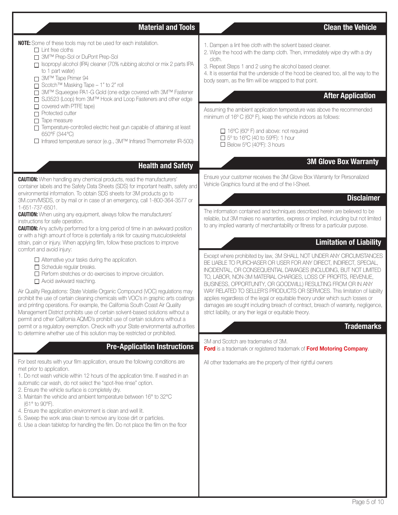| <b>Material and Tools</b>                                                                                                                                                                                                                                                                                                                                                                                                                                                                                                                                                                                                                                                                    | <b>Clean the Vehicle</b>                                                                                                                                                                                                                                                                                                                                                                                                                                                                                                                                                                                                                                          |
|----------------------------------------------------------------------------------------------------------------------------------------------------------------------------------------------------------------------------------------------------------------------------------------------------------------------------------------------------------------------------------------------------------------------------------------------------------------------------------------------------------------------------------------------------------------------------------------------------------------------------------------------------------------------------------------------|-------------------------------------------------------------------------------------------------------------------------------------------------------------------------------------------------------------------------------------------------------------------------------------------------------------------------------------------------------------------------------------------------------------------------------------------------------------------------------------------------------------------------------------------------------------------------------------------------------------------------------------------------------------------|
| NOTE: Some of these tools may not be used for each installation.<br>$\Box$ Lint free cloths<br>□ 3M™ Prep-Sol or DuPont Prep-Sol<br>Sopropyl alcohol (IPA) cleaner (70% rubbing alcohol or mix 2 parts IPA<br>to 1 part water)<br>□ 3M™ Tape Primer 94<br>□ Scotch™ Masking Tape - 1" to 2" roll<br>□ 3M™ Squeegee PA1-G Gold (one edge covered with 3M™ Fastener<br>□ SJ3523 (Loop) from 3M™ Hook and Loop Fasteners and other edge<br>$\Box$ covered with PTFE tape)<br>$\Box$ Protected cutter<br>$\Box$ Tape measure<br>Temperature-controlled electric heat gun capable of attaining at least<br>650°F (344°C)<br>□ Infrared temperature sensor (e.g., 3M™ Infrared Thermometer IR-500) | 1. Dampen a lint free cloth with the solvent based cleaner.<br>2. Wipe the hood with the damp cloth. Then, immediately wipe dry with a dry<br>cloth.<br>3. Repeat Steps 1 and 2 using the alcohol based cleaner.<br>4. It is essential that the underside of the hood be cleaned too, all the way to the<br>body seam, as the film will be wrapped to that point.<br><b>After Application</b><br>Assuming the ambient application temperature was above the recommended<br>minimum of 16° C (60° F), keep the vehicle indoors as follows:<br>□ 16°C (60° F) and above: not required<br>$\Box$ 5° to 16°C (40 to 59°F): 1 hour<br>$\Box$ Below 5°C (40°F): 3 hours |
| <b>Health and Safety</b>                                                                                                                                                                                                                                                                                                                                                                                                                                                                                                                                                                                                                                                                     | <b>3M Glove Box Warranty</b>                                                                                                                                                                                                                                                                                                                                                                                                                                                                                                                                                                                                                                      |
| <b>CAUTION:</b> When handling any chemical products, read the manufacturers'<br>container labels and the Safety Data Sheets (SDS) for important health, safety and<br>environmental information. To obtain SDS sheets for 3M products go to<br>3M.com/MSDS, or by mail or in case of an emergency, call 1-800-364-3577 or<br>1-651-737-6501.<br><b>CAUTION:</b> When using any equipment, always follow the manufacturers'<br>instructions for safe operation.<br><b>CAUTION:</b> Any activity performed for a long period of time in an awkward position                                                                                                                                    | Ensure your customer receives the 3M Glove Box Warranty for Personalized<br>Vehicle Graphics found at the end of the I-Sheet.<br><b>Disclaimer</b><br>The information contained and techniques described herein are believed to be<br>reliable, but 3M makes no warranties, express or implied, including but not limited<br>to any implied warranty of merchantability or fitness for a particular purpose.                                                                                                                                                                                                                                                      |
| or with a high amount of force is potentially a risk for causing musculoskeletal<br>strain, pain or injury. When applying film, follow these practices to improve<br>comfort and avoid injury:                                                                                                                                                                                                                                                                                                                                                                                                                                                                                               | <b>Limitation of Liability</b>                                                                                                                                                                                                                                                                                                                                                                                                                                                                                                                                                                                                                                    |
| $\Box$ Alternative your tasks during the application.<br>$\Box$ Schedule regular breaks.<br>$\Box$ Perform stretches or do exercises to improve circulation.<br>Noid awkward reaching.<br>Air Quality Regulations: State Volatile Organic Compound (VOC) regulations may<br>prohibit the use of certain cleaning chemicals with VOC's in graphic arts coatings<br>and printing operations. For example, the California South Coast Air Quality<br>Management District prohibits use of certain solvent-based solutions without a<br>permit and other California AQMD's prohibit use of certain solutions without a                                                                           | Except where prohibited by law, 3M SHALL NOT UNDER ANY CIRCUMSTANCES<br>BE LIABLE TO PURCHASER OR USER FOR ANY DIRECT, INDIRECT, SPECIAL,<br>INCIDENTAL, OR CONSEQUENTIAL DAMAGES (INCLUDING, BUT NOT LIMITED<br>TO, LABOR, NON-3M MATERIAL CHARGES, LOSS OF PROFITS, REVENUE,<br>BUSINESS, OPPORTUNITY, OR GOODWILL) RESULTING FROM OR IN ANY<br>WAY RELATED TO SELLER'S PRODUCTS OR SERVICES. This limitation of liability<br>applies regardless of the legal or equitable theory under which such losses or<br>damages are sought including breach of contract, breach of warranty, negligence,<br>strict liability, or any ther legal or equitable theory.    |
| permit or a regulatory exemption. Check with your State environmental authorities<br>to determine whether use of this solution may be restricted or prohibited.                                                                                                                                                                                                                                                                                                                                                                                                                                                                                                                              | <b>Trademarks</b>                                                                                                                                                                                                                                                                                                                                                                                                                                                                                                                                                                                                                                                 |
| <b>Pre-Application Instructions</b>                                                                                                                                                                                                                                                                                                                                                                                                                                                                                                                                                                                                                                                          | 3M and Scotch are trademarks of 3M.<br>Ford is a trademark or registered trademark of Ford Motoring Company.                                                                                                                                                                                                                                                                                                                                                                                                                                                                                                                                                      |
| For best results with your film application, ensure the following conditions are<br>met prior to application.<br>1. Do not wash vehicle within 12 hours of the application time. If washed in an<br>automatic car wash, do not select the "spot-free rinse" option.<br>2. Ensure the vehicle surface is completely dry.<br>3. Maintain the vehicle and ambient temperature between 16° to 32°C<br>(61° to 90°F).<br>4. Ensure the application environment is clean and well lit.<br>5. Sweep the work area clean to remove any loose dirt or particles.<br>6. Use a clean tabletop for handling the film. Do not place the film on the floor                                                 | All other trademarks are the property of their rightful owners                                                                                                                                                                                                                                                                                                                                                                                                                                                                                                                                                                                                    |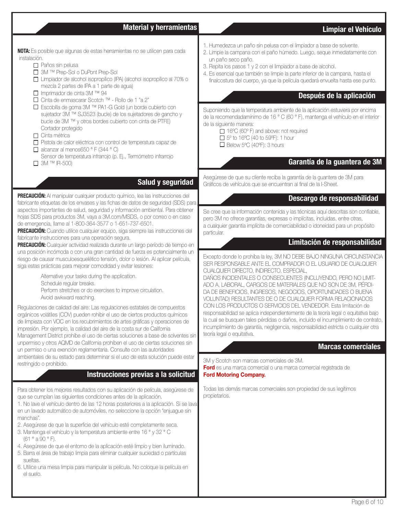# **Material y herramientas Limpiar el Vehículo**

**NOTA:** Es posible que algunas de estas herramientas no se utilicen para cada instalación.

- □ Paños sin pelusa
- 3M ™ Prep-Sol o DuPont Prep-Sol
- Limpiador de alcohol isopropílico (IPA) (alcohol isopropílico al 70% o mezcla 2 partes de IPA a 1 parte de agua)
- Imprimador de cinta 3M ™ 94
- Cinta de enmascarar Scotch ™ Rollo de 1 "a 2"
- Escobilla de goma 3M ™ PA1-G Gold (un borde cubierto con sujetador 3M ™ SJ3523 (bucle) de los sujetadores de gancho y bucle de 3M ™ y otros bordes cubierto con cinta de PTFE) Cortador protegido
- $\Box$  Cinta métrica
- Pistola de calor eléctrica con control de temperatura capaz de
- $\Box$  alcanzar al menos650 ° F (344 ° C) Sensor de temperatura infrarrojo (p. Ej., Termómetro infrarrojo
- 3M ™ IR-500)

# **Salud y seguridad**

**PRECAUCIÓN:** Al manipular cualquier producto químico, lea las instrucciones del fabricante etiquetas de los envases y las fichas de datos de seguridad (SDS) para aspectos importantes de salud, seguridad y información ambiental. Para obtener hojas SDS para productos 3M, vaya a 3M.com/MSDS, o por correo o en caso de emergencia, llame al 1-800-364-3577 o 1-651-737-6501.

**PRECAUCIÓN:** Cuando utilice cualquier equipo, siga siempre las instrucciones del fabricante instrucciones para una operación segura.

**PRECAUCIÓN:** Cualquier actividad realizada durante un largo período de tiempo en una posición incómoda o con una gran cantidad de fuerza es potencialmente un riesgo de causar musculoesquelético tensión, dolor o lesión. Al aplicar película, siga estas prácticas para mejorar comodidad y evitar lesiones:

> Alternative your tasks during the application. Schedule regular breaks. Perform stretches or do exercises to improve circulation. Avoid awkward reaching.

Regulaciones de calidad del aire: Las regulaciones estatales de compuestos orgánicos volátiles (COV) pueden rohibir el uso de ciertos productos químicos de limpieza con VOC en los recubrimientos de artes gráficas y operaciones de impresión. Por ejemplo, la calidad del aire de la costa sur de California Management District prohíbe el uso de ciertas soluciones a base de solventes sin unpermiso y otros AQMD de California prohíben el uso de ciertas soluciones sin un permiso o una exención reglamentaria. Consulte con las autoridades ambientales de su estado para determinar si el uso de esta solución puede estar restringido o prohibido.

# **Instrucciones previas a la solicitud**

Para obtener los mejores resultados con su aplicación de película, asegúrese de que se cumplan las siguientes condiciones antes de la aplicación.

1. No lave el vehículo dentro de las 12 horas posteriores a la aplicación. Si se lava en un lavado automático de automóviles, no seleccione la opción "enjuague sin manchas".

- 2. Asegúrese de que la superficie del vehículo esté completamente seca.
- 3. Mantenga el vehículo y la temperatura ambiente entre 16 ° y 32 ° C (61 ° a 90 ° F).
- 4. Asegúrese de que el entorno de la aplicación esté limpio y bien iluminado.
- 5. Barra el área de trabajo limpia para eliminar cualquier suciedad o partículas sueltas.
- 6. Utilice una mesa limpia para manipular la película. No coloque la película en el suelo.
- 1. Humedezca un paño sin pelusa con el limpiador a base de solvente.
- 2. Limpie la campana con el paño húmedo. Luego, seque inmediatamente con un paño seco paño.
- 3. Repita los pasos 1 y 2 con el limpiador a base de alcohol.
- 4. Es esencial que también se limpie la parte inferior de la campana, hasta el finalcostura del cuerpo, ya que la película quedará envuelta hasta ese punto.

# **Después de la aplicación**

Suponiendo que la temperatura ambiente de la aplicación estuviera por encima de la recomendadamínimo de 16 ° C (60 ° F), mantenga el vehículo en el interior de la siguiente manera:

□ 16°C (60° F) and above: not required  $\Box$  5° to 16°C (40 to 59°F): 1 hour  $\Box$  Below 5°C (40°F): 3 hours

# **Garantía de la guantera de 3M**

Asegúrese de que su cliente reciba la garantía de la guantera de 3M para Gráficos de vehículos que se encuentran al final de la I-Sheet.

# **Descargo de responsabilidad**

Se cree que la información contenida y las técnicas aquí descritas son confiable, pero 3M no ofrece garantías, expresas o implícitas, incluidas, entre otras, a cualquier garantía implícita de comerciabilidad o idoneidad para un propósito particular.

# **Limitación de responsabilidad**

Excepto donde lo prohíba la ley, 3M NO DEBE BAJO NINGUNA CIRCUNSTANCIA SER RESPONSABLE ANTE EL COMPRADOR O EL USUARIO DE CUALQUIER CUALQUIER DIRECTO, INDIRECTO, ESPECIAL,

DAÑOS INCIDENTALES O CONSECUENTES (INCLUYENDO, PERO NO LIMIT-ADO A, LABORAL, CARGOS DE MATERIALES QUE NO SON DE 3M, PÉRDI-DA DE BENEFICIOS, INGRESOS, NEGOCIOS, OPORTUNIDADES O BUENA VOLUNTAD) RESULTANTES DE O DE CUALQUIER FORMA RELACIONADOS CON LOS PRODUCTOS O SERVICIOS DEL VENDEDOR. Esta limitación de responsabilidad se aplica independientemente de la teoría legal o equitativa bajo la cual se busquen tales pérdidas o daños, incluido el incumplimiento de contrato, incumplimiento de garantía, negligencia, responsabilidad estricta o cualquier otra teoría legal o equitativa.

# **Marcas comerciales**

3M y Scotch son marcas comerciales de 3M.

**Ford** es una marca comercial o una marca comercial registrada de **Ford Motoring Company.**

Todas las demás marcas comerciales son propiedad de sus legítimos propietarios.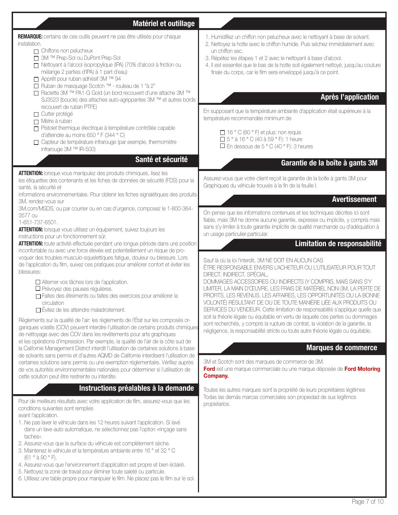| Matériel et outillage                                                                                                                                                                                                                                                                                                                                                                                                                                                                                                                                                                                                                                                                                                                                                                                                                                                                                                                                                                                                                                                                                                                                              |                                                                                                                                                                                                                                                                                                                                                                                                                                                                                                                                                                                                                                                                                                                                                                                                                                                                                                                                                         |
|--------------------------------------------------------------------------------------------------------------------------------------------------------------------------------------------------------------------------------------------------------------------------------------------------------------------------------------------------------------------------------------------------------------------------------------------------------------------------------------------------------------------------------------------------------------------------------------------------------------------------------------------------------------------------------------------------------------------------------------------------------------------------------------------------------------------------------------------------------------------------------------------------------------------------------------------------------------------------------------------------------------------------------------------------------------------------------------------------------------------------------------------------------------------|---------------------------------------------------------------------------------------------------------------------------------------------------------------------------------------------------------------------------------------------------------------------------------------------------------------------------------------------------------------------------------------------------------------------------------------------------------------------------------------------------------------------------------------------------------------------------------------------------------------------------------------------------------------------------------------------------------------------------------------------------------------------------------------------------------------------------------------------------------------------------------------------------------------------------------------------------------|
| REMARQUE: certains de ces outils peuvent ne pas être utilisés pour chaque<br>installation.<br>$\Box$ Chiffons non pelucheux<br>□ 3M ™ Prep-Sol ou DuPont Prep-Sol<br>□ Nettoyant à l'alcool isopropylique (IPA) (70% d'alcool à friction ou<br>mélange 2 parties d'IPA) à 1 part d'eau)<br>□ Apprêt pour ruban adhésif 3M ™ 94<br>□ Ruban de masquage Scotch ™ - rouleau de 1 "à 2"<br>□ Raclette 3M ™ PA1-G Gold (un bord recouvert d'une attache 3M ™<br>SJ3523 (boucle) des attaches auto-agrippantes 3M ™ et autres bords<br>recouvert de ruban PTFE)<br>□ Cutter protégé<br>$\Box$ Mètre à ruban<br>Pistolet thermique électrique à température contrôlée capable<br>d'atteindre au moins 650 ° F (344 ° C)<br>□ Capteur de température infrarouge (par exemple, thermomètre<br>infrarouge 3M ™ IR-500)<br>Santé et sécurité                                                                                                                                                                                                                                                                                                                                  | 1. Humidifiez un chiffon non pelucheux avec le nettoyant à base de solvant.<br>2. Nettoyez la hotte avec le chiffon humide. Puis séchez immédiatement avec<br>un chiffon sec.<br>3. Répétez les étapes 1 et 2 avec le nettoyant à base d'alcool.<br>4. Il est essentiel que le bas de la hotte soit également nettoyé, jusqu'au couture<br>finale du corps, car le film sera enveloppé jusqu'à ce point.<br><b>Après l'application</b><br>En supposant que la température ambiante d'application était supérieure à la<br>température recommandée minimum de<br>□ 16 ° C (60 ° F) et plus: non requis<br>$\Box$ 5° à 16° C (40 à 59 ° F): 1 heure<br>$\Box$ En dessous de 5 ° C (40 ° F): 3 heures<br>Garantie de la boîte à gants 3M                                                                                                                                                                                                                   |
| <b>ATTENTION:</b> lorsque vous manipulez des produits chimiques, lisez les<br>les étiquettes des contenants et les fiches de données de sécurité (FDS) pour la<br>santé, la sécurité et                                                                                                                                                                                                                                                                                                                                                                                                                                                                                                                                                                                                                                                                                                                                                                                                                                                                                                                                                                            | Assurez-vous que votre client reçoit la garantie de la boîte à gants 3M pour<br>Graphiques du véhicule trouvés à la fin de la feuille I.                                                                                                                                                                                                                                                                                                                                                                                                                                                                                                                                                                                                                                                                                                                                                                                                                |
| informations environnementales. Pour obtenir les fiches signalétiques des produits<br>3M, rendez-vous sur<br>3M.com/MSDS, ou par courrier ou en cas d'urgence, composez le 1-800-364-                                                                                                                                                                                                                                                                                                                                                                                                                                                                                                                                                                                                                                                                                                                                                                                                                                                                                                                                                                              | <b>Avertissement</b>                                                                                                                                                                                                                                                                                                                                                                                                                                                                                                                                                                                                                                                                                                                                                                                                                                                                                                                                    |
| 3577 ou<br>1-651-737-6501.<br>ATTENTION: lorsque vous utilisez un équipement, suivez toujours les<br>instructions pour un fonctionnement sûr.                                                                                                                                                                                                                                                                                                                                                                                                                                                                                                                                                                                                                                                                                                                                                                                                                                                                                                                                                                                                                      | On pense que les informations contenues et les techniques décrites ici sont<br>fiable, mais 3M ne donne aucune garantie, expresse ou implicite, y compris mais<br>sans s'y limiter à toute garantie implicite de qualité marchande ou d'adéquation à<br>un usage particulier.particular.                                                                                                                                                                                                                                                                                                                                                                                                                                                                                                                                                                                                                                                                |
| ATTENTION: toute activité effectuée pendant une longue période dans une position<br>inconfortable ou avec une force élevée est potentiellement un risque de pro-                                                                                                                                                                                                                                                                                                                                                                                                                                                                                                                                                                                                                                                                                                                                                                                                                                                                                                                                                                                                   | Limitation de responsabilité                                                                                                                                                                                                                                                                                                                                                                                                                                                                                                                                                                                                                                                                                                                                                                                                                                                                                                                            |
| voquer des troubles musculo-squelettiques fatigue, douleur ou blessure. Lors<br>de l'application du film, suivez ces pratiques pour améliorer confort et éviter les<br>blessures:<br>Alterner vos tâches lors de l'application.<br>□ Prévoyez des pauses régulières.<br>Faites des étirements ou faites des exercices pour améliorer la<br>circulation<br>$\Box$ Évitez de les atteindre maladroitement.<br>Règlements sur la qualité de l'air: les règlements de l'État sur les composés or-<br>ganiques volatils (COV) peuvent interdire l'utilisation de certains produits chimiques<br>de nettoyage avec des COV dans les revêtements pour arts graphiques<br>et les opérations d'impression. Par exemple, la qualité de l'air de la côte sud de<br>la Californie Management District interdit l'utilisation de certaines solutions à base<br>de solvants sans permis et d'autres AQMD de Californie interdisent l'utilisation de<br>certaines solutions sans permis ou une exemption réglementaire. Vérifiez auprès<br>de vos autorités environnementales nationales pour déterminer si l'utilisation de<br>cette solution peut être restreinte ou interdite. | Sauf là où la loi l'interdit, 3M NE DOIT EN AUCUN CAS<br>ÊTRE RESPONSABLE ENVERS L'ACHETEUR OU L'UTILISATEUR POUR TOUT<br>DIRECT, INDIRECT, SPÉCIAL,<br>DOMIMAGES ACCESSOIRES OU INDIRECTS (Y COMPRIS, MAIS SANS S'Y<br>LIMITER, LA MAIN D'ŒUVRE, LES FRAIS DE MATÉRIEL NON-3M, LA PERTE DE<br>PROFITS, LES REVENUS, LES AFFAIRES, LES OPPORTUNITÉS OU LA BONNE<br>VOLONTÉ) RÉSULTANT DE OU DE TOUTE MANIÈRE LIÉE AUX PRODUITS OU<br>SERVICES DU VENDEUR. Cette limitation de responsabilité s'applique quelle que<br>soit la théorie légale ou équitable en vertu de laquelle ces pertes ou dommages<br>sont recherchés, y compris la rupture de contrat, la violation de la garantie, la<br>négligence, la responsabilité stricte ou toute autre théorie légale ou équitable.<br><b>Marques de commerce</b><br>3M et Scotch sont des marques de commerce de 3M.<br>Ford est une marque commerciale ou une marque déposée de Ford Motoring<br>Company. |
| Instructions préalables à la demande                                                                                                                                                                                                                                                                                                                                                                                                                                                                                                                                                                                                                                                                                                                                                                                                                                                                                                                                                                                                                                                                                                                               | Toutes les autres marques sont la propriété de leurs propriétaires légitimes                                                                                                                                                                                                                                                                                                                                                                                                                                                                                                                                                                                                                                                                                                                                                                                                                                                                            |
| Pour de meilleurs résultats avec votre application de film, assurez-vous que les<br>conditions suivantes sont remplies<br>avant l'application.<br>1. Ne pas laver le véhicule dans les 12 heures suivant l'application. Si lavé<br>dans un lave-auto automatique, ne sélectionnez pas l'option «rinçage sans<br>taches».<br>2. Assurez-vous que la surface du véhicule est complètement sèche.<br>3. Maintenez le véhicule et la température ambiante entre 16 ° et 32 ° C<br>$(61°\text{à }90°\text{F}).$<br>4. Assurez-vous que l'environnement d'application est propre et bien éclairé.<br>5. Nettoyez la zone de travail pour éliminer toute saleté ou particule.<br>6. Utilisez une table propre pour manipuler le film. Ne placez pas le film sur le sol.                                                                                                                                                                                                                                                                                                                                                                                                   | Todas las demás marcas comerciales son propiedad de sus legítimos<br>propietarios.                                                                                                                                                                                                                                                                                                                                                                                                                                                                                                                                                                                                                                                                                                                                                                                                                                                                      |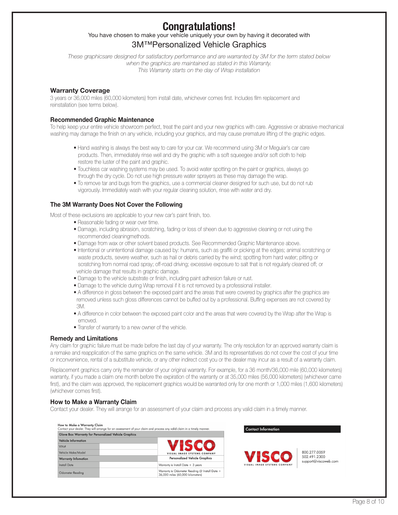# **Congratulations!**

# You have chosen to make your vehicle uniquely your own by having it decorated with 3M™Personalized Vehicle Graphics

*These graphicsare designed for satisfactory performance and are warranted by 3M for the term stated below when the graphics are maintained as stated in this Warranty. This Warranty starts on the day of Wrap installation*

### **Warranty Coverage**

3 years or 36,000 miles (60,000 kilometers) from install date, whichever comes first. Includes film replacement and reinstallation (see terms below).

#### **Recommended Graphic Maintenance**

To help keep your entire vehicle showroom perfect, treat the paint and your new graphics with care. Aggressive or abrasive mechanical washing may damage the finish on any vehicle, including your graphics, and may cause premature lifting of the graphic edges.

- Hand washing is always the best way to care for your car. We recommend using 3M or Meguiar's car care products. Then, immediately rinse well and dry the graphic with a soft squeegee and/or soft cloth to help restore the luster of the paint and graphic.
- Touchless car washing systems may be used. To avoid water spotting on the paint or graphics, always go through the dry cycle. Do not use high pressure water sprayers as these may damage the wrap.
- To remove tar and bugs from the graphics, use a commercial cleaner designed for such use, but do not rub vigorously. Immediately wash with your regular cleaning solution, rinse with water and dry.

#### **The 3M Warranty Does Not Cover the Following**

Most of these exclusions are applicable to your new car's paint finish, too.

- Reasonable fading or wear over time.
- Damage, including abrasion, scratching, fading or loss of sheen due to aggressive cleaning or not using the recommended cleaningmethods.
- Damage from wax or other solvent based products. See Recommended Graphic Maintenance above.
- Intentional or unintentional damage caused by: humans, such as graffiti or picking at the edges; animal scratching or waste products, severe weather, such as hail or debris carried by the wind; spotting from hard water; pitting or scratching from normal road spray; off-road driving; excessive exposure to salt that is not regularly cleaned off; or vehicle damage that results in graphic damage.
- Damage to the vehicle substrate or finish, including paint adhesion failure or rust.
- Damage to the vehicle during Wrap removal if it is not removed by a professional installer.
- A difference in gloss between the exposed paint and the areas that were covered by graphics after the graphics are removed unless such gloss differences cannot be buffed out by a professional. Buffing expenses are not covered by 3M.
- A difference in color between the exposed paint color and the areas that were covered by the Wrap after the Wrap is emoved.
- Transfer of warranty to a new owner of the vehicle.

#### **Remedy and Limitations**

Any claim for graphic failure must be made before the last day of your warranty. The only resolution for an approved warranty claim is a remake and reapplication of the same graphics on the same vehicle. 3M and its representatives do not cover the cost of your time or inconvenience, rental of a substitute vehicle, or any other indirect cost you or the dealer may incur as a result of a warranty claim.

Replacement graphics carry only the remainder of your original warranty. For example, for a 36 month/36,000 mile (60,000 kilometers) warranty, if you made a claim one month before the expiration of the warranty or at 35,000 miles (56,000 kilometers) (whichever came first), and the claim was approved, the replacement graphics would be warranted only for one month or 1,000 miles (1,600 kilometers) (whichever comes first).

#### **How to Make a Warranty Claim**

Contact your dealer. They will arrange for an assessment of your claim and process any valid claim in a timely manner.

| How to Make a Warranty Claim                         | Contact your dealer. They will arrange for an assessment of your claim and process any valid claim in a timely manner. |
|------------------------------------------------------|------------------------------------------------------------------------------------------------------------------------|
| Glove Box Warranty for Personalized Vehicle Graphics |                                                                                                                        |
| <b>Vehicle Information</b>                           |                                                                                                                        |
| VIN#                                                 | VISCO                                                                                                                  |
| Vehicle Make/Model                                   | VISUAL IMAGE SYSTEMS COMPANY                                                                                           |
| <b>Warranty Infomation</b>                           | <b>Personalized Vehicle Graphics</b>                                                                                   |
| Install Date                                         | Warranty is Install Date + 3 years                                                                                     |
| Odometer Readina                                     | Warranty is Odometer Reading @ Install Date +<br>36,000 miles (60,000 kilometers)                                      |



**Contact Information** 

800.277.0059 502 491 2300 support@viscoweb.com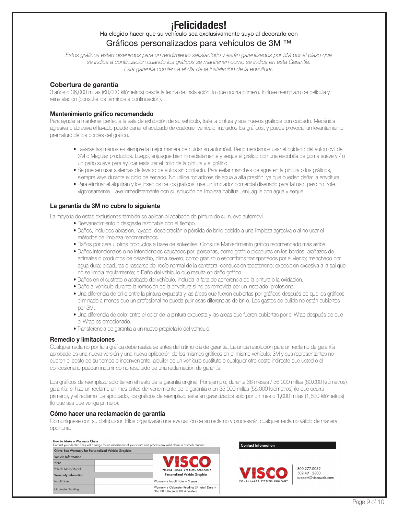# **¡Felicidades!**

# Ha elegido hacer que su vehículo sea exclusivamente suyo al decorarlo con Gráficos personalizados para vehículos de 3M ™

*Estos gráficos están diseñados para un rendimiento satisfactorio y están garantizados por 3M por el plazo que se indica a continuación.cuando los gráficos se mantienen como se indica en esta Garantía. Esta garantía comienza el día de la instalación de la envoltura.*

#### **Cobertura de garantía**

3 años o 36,000 millas (60,000 kilómetros) desde la fecha de instalación, lo que ocurra primero. Incluye reemplazo de película y reinstalación (consulte los términos a continuación).

#### **Mantenimiento gráfico recomendado**

Para ayudar a mantener perfecta la sala de exhibición de su vehículo, trate la pintura y sus nuevos gráficos con cuidado. Mecánica agresiva o abrasiva el lavado puede dañar el acabado de cualquier vehículo, incluidos los gráficos, y puede provocar un levantamiento prematuro de los bordes del gráfico.

- Lavarse las manos es siempre la mejor manera de cuidar su automóvil. Recomendamos usar el cuidado del automóvil de 3M o Meguiar productos. Luego, enjuague bien inmediatamente y seque el gráfico con una escobilla de goma suave y / o un paño suave para ayudar restaurar el brillo de la pintura y el gráfico.
- Se pueden usar sistemas de lavado de autos sin contacto. Para evitar manchas de agua en la pintura o los gráficos, siempre vaya durante el ciclo de secado. No utilice rociadores de agua a alta presión, ya que pueden dañar la envoltura.
- Para eliminar el alquitrán y los insectos de los gráficos, use un limpiador comercial diseñado para tal uso, pero no frote vigorosamente. Lave inmediatamente con su solución de limpieza habitual, enjuague con agua y seque.

#### **La garantía de 3M no cubre lo siguiente**

La mayoría de estas exclusiones también se aplican al acabado de pintura de su nuevo automóvil.

- Desvanecimiento o desgaste razonable con el tiempo.
- Daños, incluidos abrasión, rayado, decoloración o pérdida de brillo debido a una limpieza agresiva o al no usar el métodos de limpieza recomendados.
- Daños por cera u otros productos a base de solventes. Consulte Mantenimiento gráfico recomendado más arriba.
- Daños intencionales o no intencionales causados por: personas, como grafiti o picaduras en los bordes; arañazos de animales o productos de desecho, clima severo, como granizo o escombros transportados por el viento; manchado por agua dura; picaduras o rascarse del rocío normal de la carretera; conducción todoterreno; exposición excesiva a la sal que no se limpia regularmente; o Daño del vehículo que resulta en daño gráfico.
- Daños en el sustrato o acabado del vehículo, incluida la falta de adherencia de la pintura o la oxidación.
- Daño al vehículo durante la remoción de la envoltura si no es removida por un instalador profesional.
- Una diferencia de brillo entre la pintura expuesta y las áreas que fueron cubiertas por gráficos después de que los gráficos eliminado a menos que un profesional no pueda pulir esas diferencias de brillo. Los gastos de pulido no están cubiertos por 3M.
- Una diferencia de color entre el color de la pintura expuesta y las áreas que fueron cubiertas por el Wrap después de que el Wrap es emocionado.
- Transferencia de garantía a un nuevo propietario del vehículo.

#### **Remedio y limitaciones**

Cualquier reclamo por falla gráfica debe realizarse antes del último día de garantía. La única resolución para un reclamo de garantía aprobado es una nueva versión y una nueva aplicación de los mismos gráficos en el mismo vehículo. 3M y sus representantes no cubren el costo de su tiempo o inconveniente, alquiler de un vehículo sustituto o cualquier otro costo indirecto que usted o el concesionario puedan incurrir como resultado de una reclamación de garantía.

Los gráficos de reemplazo solo tienen el resto de la garantía original. Por ejemplo, durante 36 meses / 36.000 millas (60.000 kilómetros) garantía, si hizo un reclamo un mes antes del vencimiento de la garantía o en 35,000 millas (56,000 kilómetros) (lo que ocurra primero), y el reclamo fue aprobado, los gráficos de reemplazo estarían garantizados solo por un mes o 1,000 millas (1,600 kilómetros) (lo que sea que venga primero).

#### **Cómo hacer una reclamación de garantía**

Comuníquese con su distribuidor. Ellos organizarán una evaluación de su reclamo y procesarán cualquier reclamo válido de manera oportuna.

# How to Make a Warranty Claim<br>Contact your dealer. They will arrar

. Ciainn<br>ill arranae for an assessment of vour claim and process any valid claim in a timely manner Glove Box Warranty for Personalized Vehicle Graphics

| <b>Vehicle Information</b> |                                                                                   |
|----------------------------|-----------------------------------------------------------------------------------|
| VIN#                       | KCO                                                                               |
| Vehicle Make/Model         | VISUAL IMAGE SYSTEMS COMPANY                                                      |
| <b>Warranty Infomation</b> | <b>Personalized Vehicle Graphics</b>                                              |
| Install Date               | Warranty is Install Date + 3 years                                                |
| Odometer Reading           | Warranty is Odometer Reading @ Install Date +<br>36,000 miles (60,000 kilometers) |

#### **Contact Information**



800.277.0059 502.491.2300 support@viscoweb.com